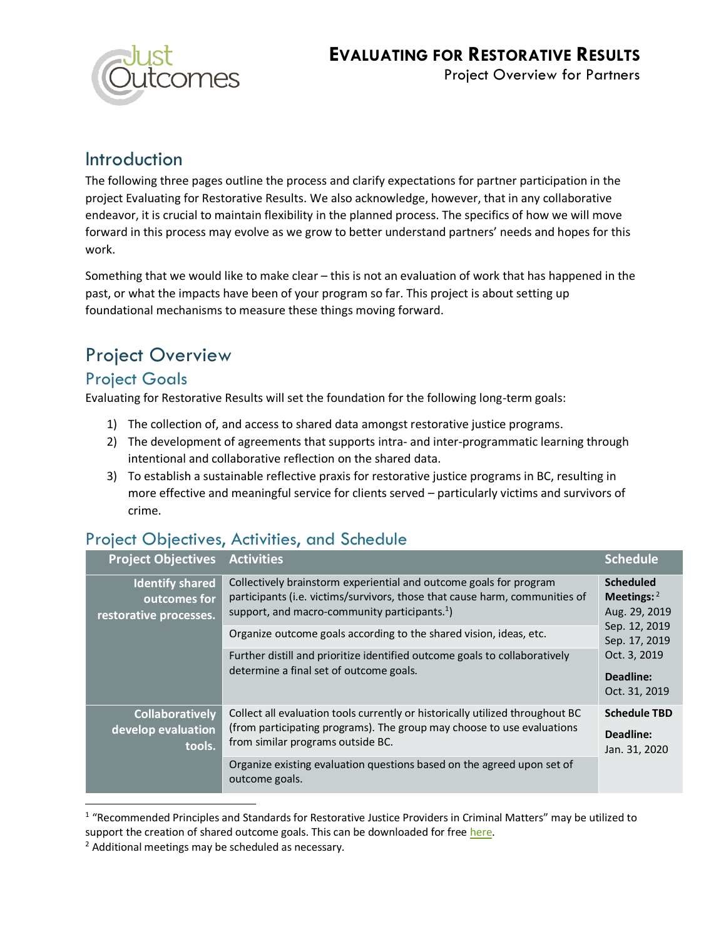

### Introduction

The following three pages outline the process and clarify expectations for partner participation in the project Evaluating for Restorative Results. We also acknowledge, however, that in any collaborative endeavor, it is crucial to maintain flexibility in the planned process. The specifics of how we will move forward in this process may evolve as we grow to better understand partners' needs and hopes for this work.

Something that we would like to make clear – this is not an evaluation of work that has happened in the past, or what the impacts have been of your program so far. This project is about setting up foundational mechanisms to measure these things moving forward.

# Project Overview

#### Project Goals

Evaluating for Restorative Results will set the foundation for the following long-term goals:

- 1) The collection of, and access to shared data amongst restorative justice programs.
- 2) The development of agreements that supports intra- and inter-programmatic learning through intentional and collaborative reflection on the shared data.
- 3) To establish a sustainable reflective praxis for restorative justice programs in BC, resulting in more effective and meaningful service for clients served – particularly victims and survivors of crime.

### Project Objectives, Activities, and Schedule

| <b>Project Objectives</b>                                        | <b>Activities</b>                                                                                                                                                                                                                                                           | <b>Schedule</b>                                                                                                                    |
|------------------------------------------------------------------|-----------------------------------------------------------------------------------------------------------------------------------------------------------------------------------------------------------------------------------------------------------------------------|------------------------------------------------------------------------------------------------------------------------------------|
| <b>Identify shared</b><br>outcomes for<br>restorative processes. | Collectively brainstorm experiential and outcome goals for program<br>participants (i.e. victims/survivors, those that cause harm, communities of<br>support, and macro-community participants. $1$ )<br>Organize outcome goals according to the shared vision, ideas, etc. | <b>Scheduled</b><br>Meetings: $2$<br>Aug. 29, 2019<br>Sep. 12, 2019<br>Sep. 17, 2019<br>Oct. 3, 2019<br>Deadline:<br>Oct. 31, 2019 |
|                                                                  | Further distill and prioritize identified outcome goals to collaboratively<br>determine a final set of outcome goals.                                                                                                                                                       |                                                                                                                                    |
| <b>Collaboratively</b><br>develop evaluation<br>tools.           | Collect all evaluation tools currently or historically utilized throughout BC<br>(from participating programs). The group may choose to use evaluations<br>from similar programs outside BC.                                                                                | <b>Schedule TBD</b><br>Deadline:<br>Jan. 31, 2020                                                                                  |
|                                                                  | Organize existing evaluation questions based on the agreed upon set of<br>outcome goals.                                                                                                                                                                                    |                                                                                                                                    |

<sup>&</sup>lt;sup>1</sup> "Recommended Principles and Standards for Restorative Justice Providers in Criminal Matters" may be utilized to support the creation of shared outcome goals. This can be downloaded for free [here.](https://www.cjibc.org/resources-books/the-evolution-of-restorative-justice-initiatives-why-you-should-read-recommended-principles-and-standards-for-restorative-justice-providers-in-criminal-matters/)

<sup>&</sup>lt;sup>2</sup> Additional meetings may be scheduled as necessary.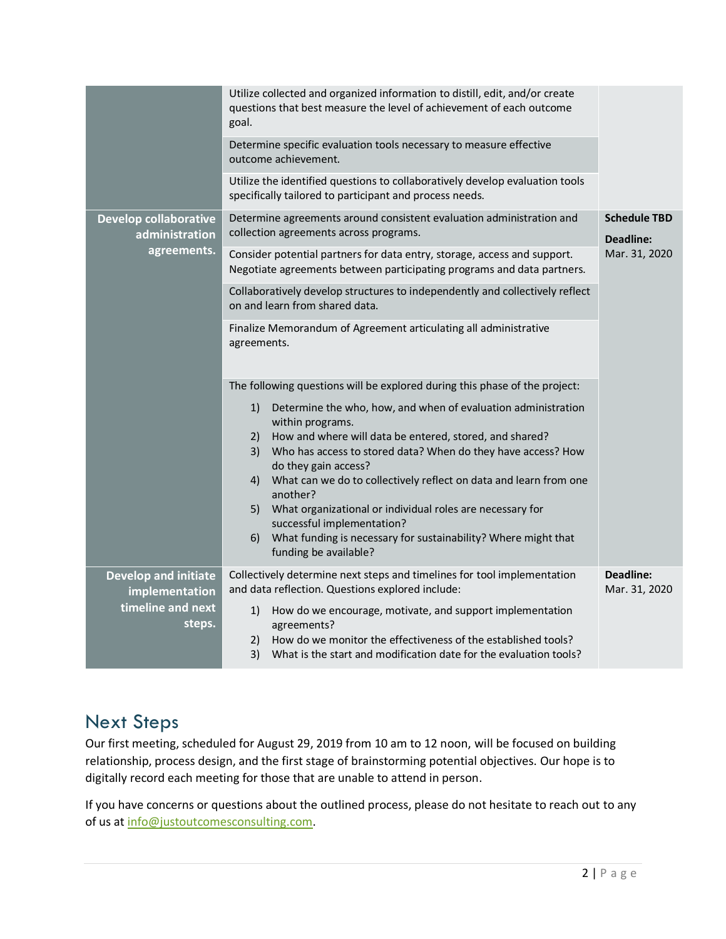|                                                                              | Utilize collected and organized information to distill, edit, and/or create<br>questions that best measure the level of achievement of each outcome<br>goal. |                                                                                                                                                    |                                                          |  |  |
|------------------------------------------------------------------------------|--------------------------------------------------------------------------------------------------------------------------------------------------------------|----------------------------------------------------------------------------------------------------------------------------------------------------|----------------------------------------------------------|--|--|
|                                                                              | Determine specific evaluation tools necessary to measure effective<br>outcome achievement.                                                                   |                                                                                                                                                    |                                                          |  |  |
|                                                                              |                                                                                                                                                              | Utilize the identified questions to collaboratively develop evaluation tools<br>specifically tailored to participant and process needs.            |                                                          |  |  |
| <b>Develop collaborative</b><br>administration<br>agreements.                | Determine agreements around consistent evaluation administration and<br>collection agreements across programs.                                               |                                                                                                                                                    | <b>Schedule TBD</b><br><b>Deadline:</b><br>Mar. 31, 2020 |  |  |
|                                                                              | Consider potential partners for data entry, storage, access and support.<br>Negotiate agreements between participating programs and data partners.           |                                                                                                                                                    |                                                          |  |  |
|                                                                              |                                                                                                                                                              | Collaboratively develop structures to independently and collectively reflect<br>on and learn from shared data.                                     |                                                          |  |  |
|                                                                              | Finalize Memorandum of Agreement articulating all administrative<br>agreements.                                                                              |                                                                                                                                                    |                                                          |  |  |
|                                                                              |                                                                                                                                                              | The following questions will be explored during this phase of the project:                                                                         |                                                          |  |  |
|                                                                              | 1)                                                                                                                                                           | Determine the who, how, and when of evaluation administration<br>within programs.                                                                  |                                                          |  |  |
|                                                                              | 2)                                                                                                                                                           | How and where will data be entered, stored, and shared?<br>3) Who has access to stored data? When do they have access? How<br>do they gain access? |                                                          |  |  |
|                                                                              | 4)                                                                                                                                                           | What can we do to collectively reflect on data and learn from one<br>another?                                                                      |                                                          |  |  |
|                                                                              | 5)                                                                                                                                                           | What organizational or individual roles are necessary for<br>successful implementation?                                                            |                                                          |  |  |
|                                                                              |                                                                                                                                                              | 6) What funding is necessary for sustainability? Where might that<br>funding be available?                                                         |                                                          |  |  |
| <b>Develop and initiate</b><br>implementation<br>timeline and next<br>steps. |                                                                                                                                                              | Collectively determine next steps and timelines for tool implementation<br>and data reflection. Questions explored include:                        | <b>Deadline:</b><br>Mar. 31, 2020                        |  |  |
|                                                                              | 1)                                                                                                                                                           | How do we encourage, motivate, and support implementation<br>agreements?                                                                           |                                                          |  |  |
|                                                                              |                                                                                                                                                              | 2) How do we monitor the effectiveness of the established tools?<br>3) What is the start and modification date for the evaluation tools?           |                                                          |  |  |

### Next Steps

Our first meeting, scheduled for August 29, 2019 from 10 am to 12 noon, will be focused on building relationship, process design, and the first stage of brainstorming potential objectives. Our hope is to digitally record each meeting for those that are unable to attend in person.

If you have concerns or questions about the outlined process, please do not hesitate to reach out to any of us a[t info@justoutcomesconsulting.com.](mailto:info@justoutcomesconsulting.com)